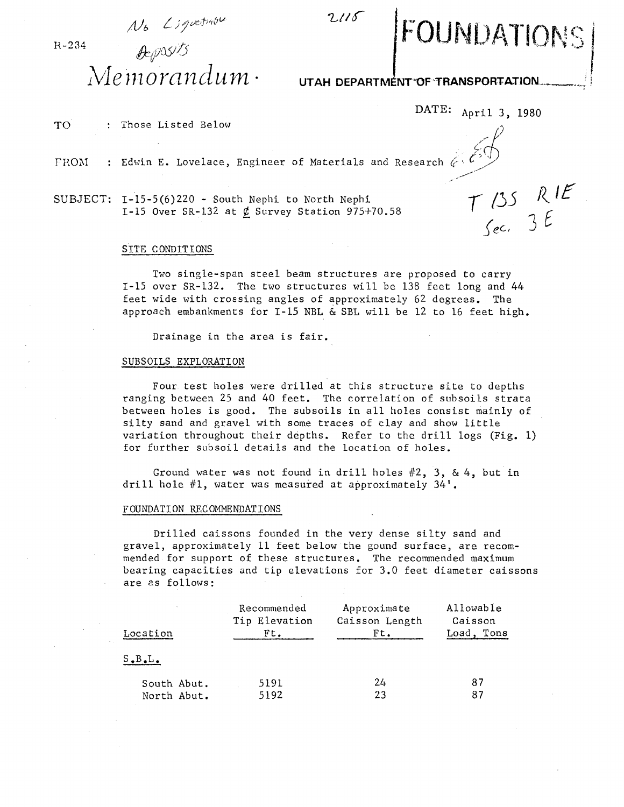$N_b$  *L* ; *g* vetrasu

H-234 *'\*tJ)u5!* /}  $Me$ morandum <sup>.</sup>

## UTAH DEPARTMÉNT<sup>-OF-</sup>TRANSPORTATION

DATE: April 3, 1980

JNDATIONS

 $T135$  RIE<br>Sec. 3 E

TO : Those Listed Below

FROM : Edwin E. Lovelace, Engineer of Materials and Research  $\ell$ 

SUBJECT: 1-15-5(6)220 - South Nephi to North Nephi 1-15 Over SR-132 at  $\phi$  Survey Station 975+70.58

## SITE CONDITIONS

Two single-span steel beam structures are proposed to carry 1-15 over SR-l32. The two structures will be 138 feet long and 44 feet wide with crossing angles of approximately 62 degrees. The approach embankments for 1-15 NBL & SBL will be 12 to 16 feet high.

 $2115$ 

Drainage in the area is fair.

## SUBSOILS EXPLORATION

Four test holes were drilled at this structure site to depths ranging between 25 and 40 feet. The correlation of subsoils strata between holes is good. The subsoils in all holes consist mainly of silty sand and gravel with some traces of clay and show little variation throughout their depths. Refer to the drill logs (Fig. 1) for further subsoil details and the location of holes.

Ground water was not found in drill holes #2, 3, & 4, but in drill hole #1, water was measured at approximately 34'.

## FOUNDATION RECOMMENDATIONS

Drilled caissons founded in the very dense silty sand and gravel, approximately 11 feet below the gound surface, are recommended for support of these structures. The recommended maximum bearing capacities and tip elevations for 3.0 feet diameter caissons are as follows:

| Location                   | Recommended<br>Tip Elevation<br>Ft. | Approximate<br>Caisson Length<br>$Ft$ . | Allowable<br>Caisson<br>Tons<br>Load, |
|----------------------------|-------------------------------------|-----------------------------------------|---------------------------------------|
| $S$ . $B$ . $L$ .          |                                     |                                         |                                       |
| South Abut.<br>North Abut. | 5191<br>5192                        | 24<br>23                                | 87<br>87                              |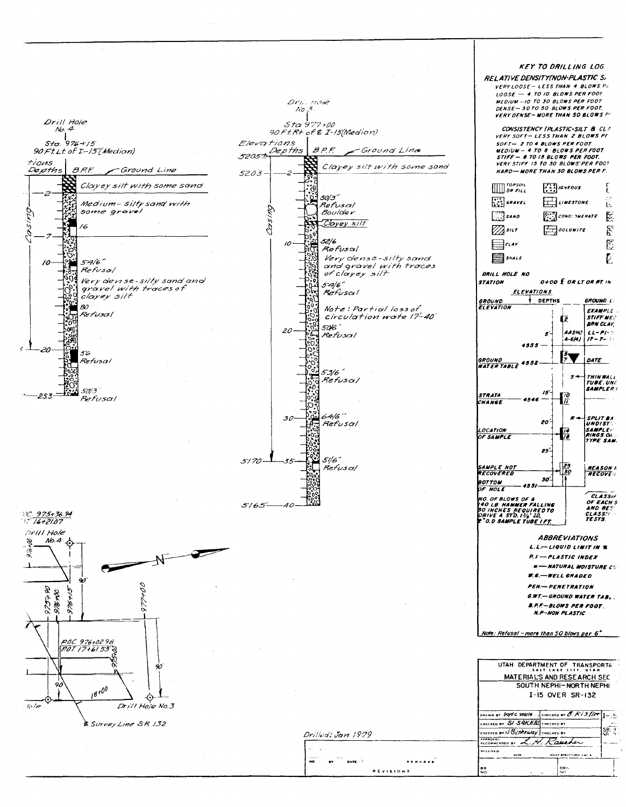